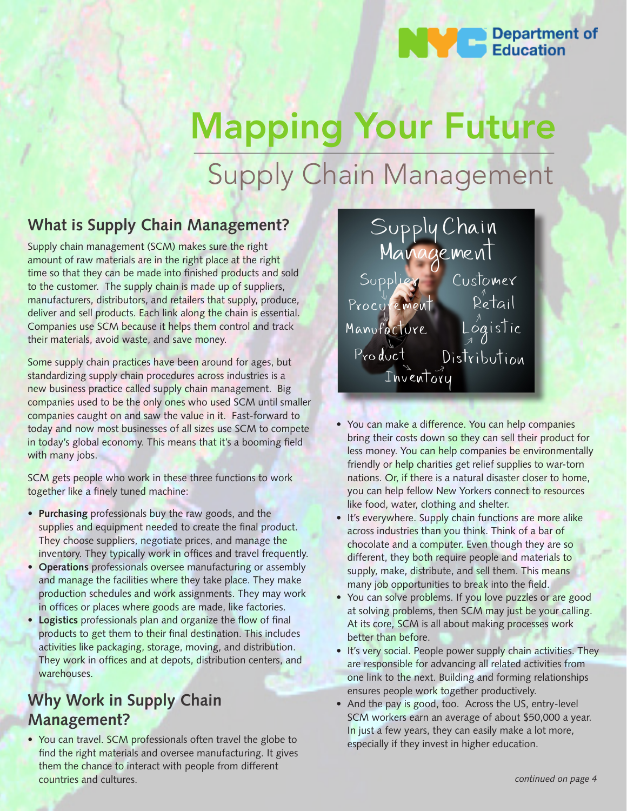

# Mapping Your Future Supply Chain Management

## **What is Supply Chain Management?**

Supply chain management (SCM) makes sure the right amount of raw materials are in the right place at the right time so that they can be made into finished products and sold to the customer. The supply chain is made up of suppliers, manufacturers, distributors, and retailers that supply, produce, deliver and sell products. Each link along the chain is essential. Companies use SCM because it helps them control and track their materials, avoid waste, and save money.

Some supply chain practices have been around for ages, but standardizing supply chain procedures across industries is a new business practice called supply chain management. Big companies used to be the only ones who used SCM until smaller companies caught on and saw the value in it. Fast-forward to today and now most businesses of all sizes use SCM to compete in today's global economy. This means that it's a booming field with many jobs.

SCM gets people who work in these three functions to work together like a finely tuned machine:

- **Purchasing** professionals buy the raw goods, and the supplies and equipment needed to create the final product. They choose suppliers, negotiate prices, and manage the inventory. They typically work in offices and travel frequently.
- **Operations** professionals oversee manufacturing or assembly and manage the facilities where they take place. They make production schedules and work assignments. They may work in offices or places where goods are made, like factories.
- **Logistics** professionals plan and organize the flow of final products to get them to their final destination. This includes activities like packaging, storage, moving, and distribution. They work in offices and at depots, distribution centers, and warehouses.

## **Why Work in Supply Chain Management?**

• You can travel. SCM professionals often travel the globe to find the right materials and oversee manufacturing. It gives them the chance to interact with people from different countries and cultures.



- You can make a difference. You can help companies bring their costs down so they can sell their product for less money. You can help companies be environmentally friendly or help charities get relief supplies to war-torn nations. Or, if there is a natural disaster closer to home, you can help fellow New Yorkers connect to resources like food, water, clothing and shelter.
- It's everywhere. Supply chain functions are more alike across industries than you think. Think of a bar of chocolate and a computer. Even though they are so different, they both require people and materials to supply, make, distribute, and sell them. This means many job opportunities to break into the field.
- You can solve problems. If you love puzzles or are good at solving problems, then SCM may just be your calling. At its core, SCM is all about making processes work better than before.
- It's very social. People power supply chain activities. They are responsible for advancing all related activities from one link to the next. Building and forming relationships ensures people work together productively.
- And the pay is good, too. Across the US, entry-level SCM workers earn an average of about \$50,000 a year. In just a few years, they can easily make a lot more, especially if they invest in higher education.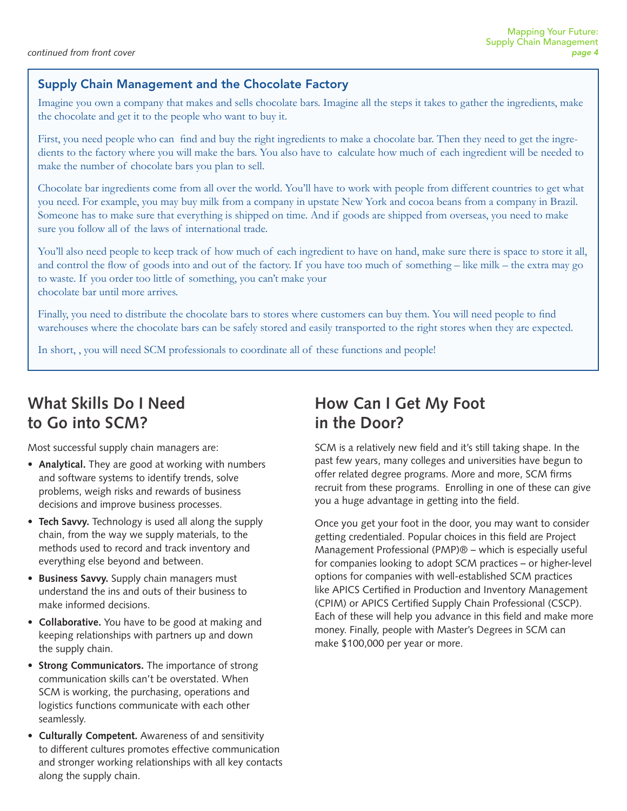## Supply Chain Management and the Chocolate Factory

Imagine you own a company that makes and sells chocolate bars. Imagine all the steps it takes to gather the ingredients, make the chocolate and get it to the people who want to buy it.

First, you need people who can find and buy the right ingredients to make a chocolate bar. Then they need to get the ingredients to the factory where you will make the bars. You also have to calculate how much of each ingredient will be needed to make the number of chocolate bars you plan to sell.

Chocolate bar ingredients come from all over the world. You'll have to work with people from different countries to get what you need. For example, you may buy milk from a company in upstate New York and cocoa beans from a company in Brazil. Someone has to make sure that everything is shipped on time. And if goods are shipped from overseas, you need to make sure you follow all of the laws of international trade.

You'll also need people to keep track of how much of each ingredient to have on hand, make sure there is space to store it all, and control the flow of goods into and out of the factory. If you have too much of something – like milk – the extra may go to waste. If you order too little of something, you can't make your chocolate bar until more arrives.

Finally, you need to distribute the chocolate bars to stores where customers can buy them. You will need people to find warehouses where the chocolate bars can be safely stored and easily transported to the right stores when they are expected.

In short, , you will need SCM professionals to coordinate all of these functions and people!

## **What Skills Do I Need to Go into SCM?**

Most successful supply chain managers are:

- Analytical. They are good at working with numbers and software systems to identify trends, solve problems, weigh risks and rewards of business decisions and improve business processes.
- Tech Savvy. Technology is used all along the supply chain, from the way we supply materials, to the methods used to record and track inventory and everything else beyond and between.
- **Business Savvy.** Supply chain managers must understand the ins and outs of their business to make informed decisions.
- Collaborative. You have to be good at making and keeping relationships with partners up and down the supply chain.
- Strong Communicators. The importance of strong communication skills can't be overstated. When SCM is working, the purchasing, operations and logistics functions communicate with each other seamlessly.
- **Culturally Competent.** Awareness of and sensitivity to different cultures promotes effective communication and stronger working relationships with all key contacts along the supply chain.

## **How Can I Get My Foot in the Door?**

SCM is a relatively new field and it's still taking shape. In the past few years, many colleges and universities have begun to offer related degree programs. More and more, SCM firms recruit from these programs. Enrolling in one of these can give you a huge advantage in getting into the field.

Once you get your foot in the door, you may want to consider getting credentialed. Popular choices in this field are Project Management Professional (PMP) $\circledR$  – which is especially useful for companies looking to adopt SCM practices - or higher-level options for companies with well-established SCM practices like APICS Certified in Production and Inventory Management (CPIM) or APICS Certified Supply Chain Professional (CSCP). Each of these will help you advance in this field and make more money. Finally, people with Master's Degrees in SCM can make \$100,000 per year or more.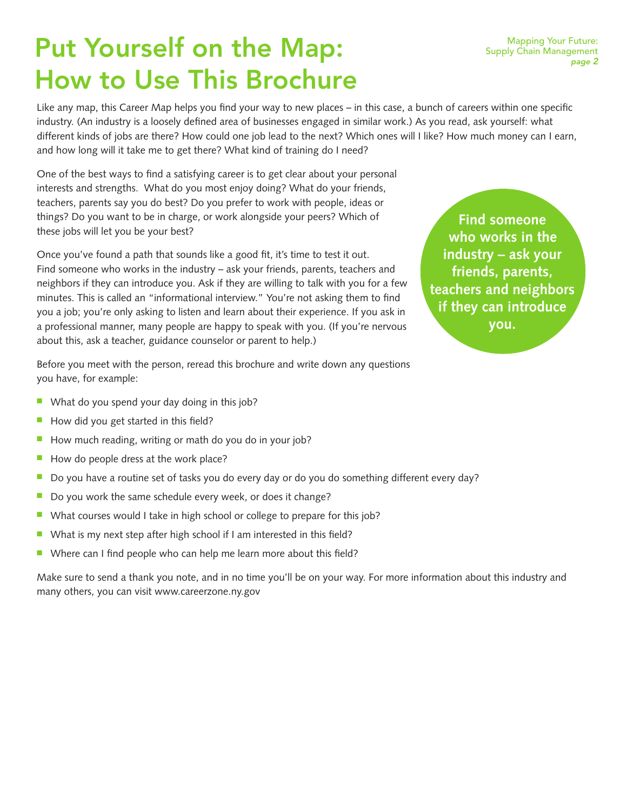# Put Yourself on the Map: How to Use This Brochure

Like any map, this Career Map helps you find your way to new places – in this case, a bunch of careers within one specific industry. (An industry is a loosely defined area of businesses engaged in similar work.) As you read, ask yourself: what different kinds of jobs are there? How could one job lead to the next? Which ones will I like? How much money can I earn, and how long will it take me to get there? What kind of training do I need?

One of the best ways to find a satisfying career is to get clear about your personal interests and strengths. What do you most enjoy doing? What do your friends, teachers, parents say you do best? Do you prefer to work with people, ideas or things? Do you want to be in charge, or work alongside your peers? Which of these jobs will let you be your best?

Once you've found a path that sounds like a good fit, it's time to test it out. Find someone who works in the industry  $-$  ask your friends, parents, teachers and neighbors if they can introduce you. Ask if they are willing to talk with you for a few minutes. This is called an "informational interview." You're not asking them to find you a job; you're only asking to listen and learn about their experience. If you ask in a professional manner, many people are happy to speak with you. (If you're nervous about this, ask a teacher, guidance counselor or parent to help.)

**Find someone who works in the industry – ask your friends, parents, teachers and neighbors if they can introduce you.**

Before you meet with the person, reread this brochure and write down any questions you have, for example:

- What do you spend your day doing in this job?
- $\blacksquare$  How did you get started in this field?
- How much reading, writing or math do you do in your job?
- $\blacksquare$  How do people dress at the work place?
- Do you have a routine set of tasks you do every day or do you do something different every day?
- $\blacksquare$  Do you work the same schedule every week, or does it change?
- $\blacksquare$  What courses would I take in high school or college to prepare for this job?
- $\blacksquare$  What is my next step after high school if I am interested in this field?
- Where can I find people who can help me learn more about this field?

Make sure to send a thank you note, and in no time you'll be on your way. For more information about this industry and many others, you can visit www.careerzone.ny.gov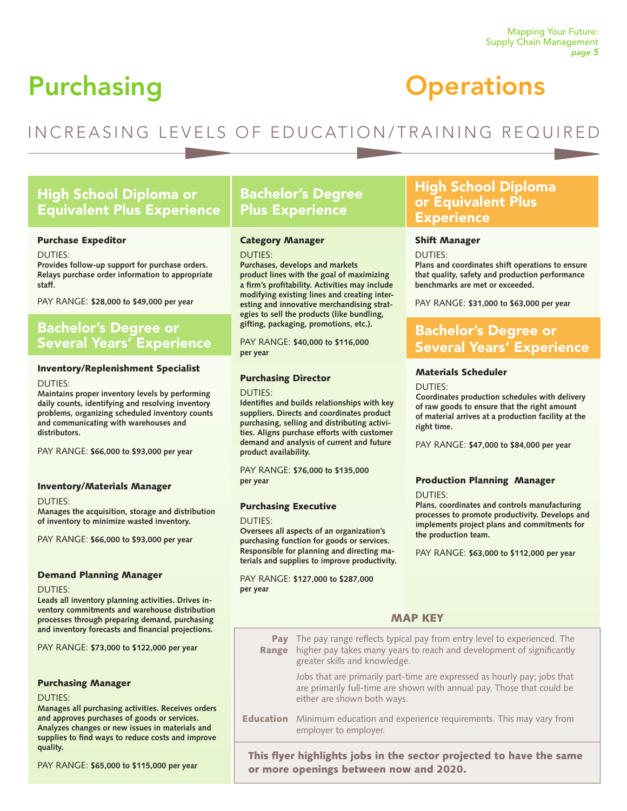# Purchasing

## Mapping Your Future: Supply Chain Management page 5

# **Operations**

## INCREASING LEVELS OF EDUCATION/TRAINING REQUIRED

## High School Diploma or Equivalent Plus Experience

## Purchase Expeditor

DUTIES:

**Provides follow-up support for purchase orders. Relays purchase order information to appropriate staff.**

PAY RANGE: \$28,000 to \$49,000 per year

## Bachelor's Degree or Several Years' Experience

## Inventory/Replenishment Specialist

#### DUTIES:

**Maintains proper inventory levels by performing daily counts, identifying and resolving inventory problems, organizing scheduled inventory counts and communicating with warehouses and distributors.** 

PAY RANGE: \$66,000 to \$93,000 per year

## Inventory/Materials Manager

DUTIES:

**Manages the acquisition, storage and distribution of inventory to minimize wasted inventory.** 

PAY RANGE: \$66,000 to \$93,000 per year

### Demand Planning Manager

#### DUTIES:

**Leads all inventory planning activities. Drives inventory commitments and warehouse distribution processes through preparing demand, purchasing and inventory forecasts and financial projections.** 

PAY RANGE: \$73,000 to \$122,000 per year

## Purchasing Manager

### DUTIES:

**Manages all purchasing activities. Receives orders and approves purchases of goods or services. Analyzes changes or new issues in materials and supplies to find ways to reduce costs and improve quality.**

PAY RANGE: \$65,000 to \$115,000 per year

## Bachelor's Degree Plus Experience

### Category Manager

DUTIES:

**Purchases, develops and markets product lines with the goal of maximizing a firm's profitability. Activities may include modifying existing lines and creating interesting and innovative merchandising strategies to sell the products (like bundling, gifting, packaging, promotions, etc.).**

PAY RANGE: \$40,000 to \$116,000 **per year**

## Purchasing Director

## $DUTIES:$

**Identifies and builds relationships with key suppliers. Directs and coordinates product purchasing, selling and distributing activities. Aligns purchase efforts with customer demand and analysis of current and future product availability.** 

PAY RANGE: \$76,000 to \$135,000 **per year**

## Purchasing Executive

#### DUTIES:

**Oversees all aspects of an organization's purchasing function for goods or services. Responsible for planning and directing materials and supplies to improve productivity.**

PAY RANGE: \$127,000 to \$287,000 **per year**

## High School Diploma or Equivalent Plus **Experience**

### Shift Manager

DUTIES:

**Plans and coordinates shift operations to ensure that quality, safety and production performance benchmarks are met or exceeded.** 

PAY RANGE: \$31,000 to \$63,000 per year

## Bachelor's Degree or Several Years' Experience

## Materials Scheduler

 $DIITIFS$ 

**Coordinates production schedules with delivery of raw goods to ensure that the right amount of material arrives at a production facility at the right time.** 

PAY RANGE: \$47,000 to \$84,000 per year

## Production Planning Manager

 $DIJTIFS<sup>2</sup>$ 

**Plans, coordinates and controls manufacturing processes to promote productivity. Develops and implements project plans and commitments for the production team.** 

PAY RANGE: \$63,000 to \$112,000 per year

## MAP KEY

**Pay** The pay range reflects typical pay from entry level to experienced. The **Range** higher pay takes many years to reach and development of significantly greater skills and knowledge.

Jobs that are primarily part-time are expressed as hourly pay; jobs that are primarily full-time are shown with annual pay. Those that could be either are shown both ways.

**Education** Minimum education and experience requirements. This may vary from employer to employer.

This flyer highlights jobs in the sector projected to have the same or more openings between now and 2020.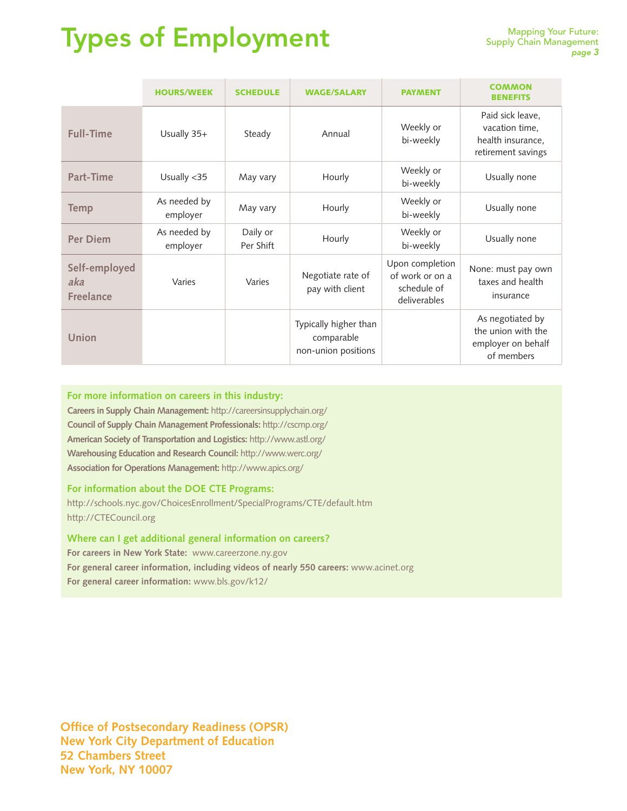# Types of Employment

|                                          | <b>HOURS/WEEK</b>        | <b>SCHEDULE</b>       | <b>WAGE/SALARY</b>                                         | <b>PAYMENT</b>                                                    | <b>COMMON</b><br><b>BENEFITS</b>                                              |
|------------------------------------------|--------------------------|-----------------------|------------------------------------------------------------|-------------------------------------------------------------------|-------------------------------------------------------------------------------|
| <b>Full-Time</b>                         | Usually 35+              | Steady                | Annual                                                     | Weekly or<br>bi-weekly                                            | Paid sick leave,<br>vacation time,<br>health insurance,<br>retirement savings |
| Part-Time                                | Usually <35              | May vary              | Hourly                                                     | Weekly or<br>bi-weekly                                            | Usually none                                                                  |
| <b>Temp</b>                              | As needed by<br>employer | May vary              | Hourly                                                     | Weekly or<br>bi-weekly                                            | Usually none                                                                  |
| <b>Per Diem</b>                          | As needed by<br>employer | Daily or<br>Per Shift | Hourly                                                     | Weekly or<br>bi-weekly                                            | Usually none                                                                  |
| Self-employed<br>aka<br><b>Freelance</b> | Varies                   | Varies                | Negotiate rate of<br>pay with client                       | Upon completion<br>of work or on a<br>schedule of<br>deliverables | None: must pay own<br>taxes and health<br>insurance                           |
| Union                                    |                          |                       | Typically higher than<br>comparable<br>non-union positions |                                                                   | As negotiated by<br>the union with the<br>employer on behalf<br>of members    |

## **For more information on careers in this industry:**

**Careers in Supply Chain Management:** http://careersinsupplychain.org/ **Council of Supply Chain Management Professionals:** http://cscmp.org/ **American Society of Transportation and Logistics:** http://www.astl.org/ **Warehousing Education and Research Council:** http://www.werc.org/ **Association for Operations Management:** http://www.apics.org/

**For information about the DOE CTE Programs:**

http://schools.nyc.gov/ChoicesEnrollment/SpecialPrograms/CTE/default.htm http://CTECouncil.org

**Where can I get additional general information on careers? For careers in New York State:** www.careerzone.ny.gov **For general career information, including videos of nearly 550 careers:** www.acinet.org **For general career information:** www.bls.gov/k12/

**Office of Postsecondary Readiness (OPSR) New York City Department of Education 52 Chambers Street New York, NY 10007**